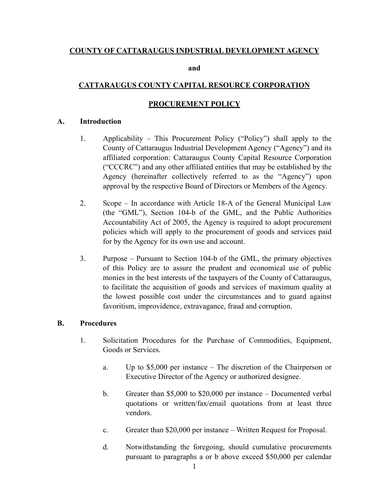## **COUNTY OF CATTARAUGUS INDUSTRIAL DEVELOPMENT AGENCY**

**and** 

# **CATTARAUGUS COUNTY CAPITAL RESOURCE CORPORATION**

# **PROCUREMENT POLICY**

### **A. Introduction**

- 1. Applicability This Procurement Policy ("Policy") shall apply to the County of Cattaraugus Industrial Development Agency ("Agency") and its affiliated corporation: Cattaraugus County Capital Resource Corporation ("CCCRC") and any other affiliated entities that may be established by the Agency (hereinafter collectively referred to as the "Agency") upon approval by the respective Board of Directors or Members of the Agency.
- 2. Scope In accordance with Article 18-A of the General Municipal Law (the "GML"), Section 104-b of the GML, and the Public Authorities Accountability Act of 2005, the Agency is required to adopt procurement policies which will apply to the procurement of goods and services paid for by the Agency for its own use and account.
- 3. Purpose Pursuant to Section 104-b of the GML, the primary objectives of this Policy are to assure the prudent and economical use of public monies in the best interests of the taxpayers of the County of Cattaraugus, to facilitate the acquisition of goods and services of maximum quality at the lowest possible cost under the circumstances and to guard against favoritism, improvidence, extravagance, fraud and corruption.

### **B. Procedures**

- 1. Solicitation Procedures for the Purchase of Commodities, Equipment, Goods or Services.
	- a. Up to \$5,000 per instance The discretion of the Chairperson or Executive Director of the Agency or authorized designee.
	- b. Greater than \$5,000 to \$20,000 per instance Documented verbal quotations or written/fax/email quotations from at least three vendors.
	- c. Greater than \$20,000 per instance Written Request for Proposal.
	- d. Notwithstanding the foregoing, should cumulative procurements pursuant to paragraphs a or b above exceed \$50,000 per calendar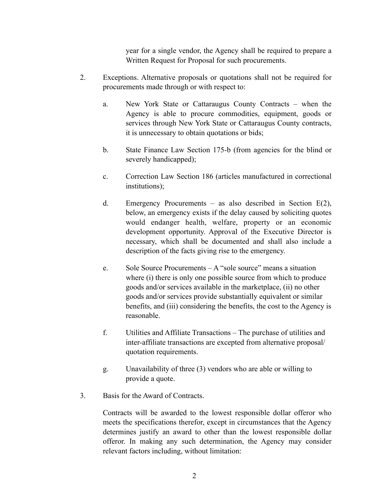year for a single vendor, the Agency shall be required to prepare a Written Request for Proposal for such procurements.

- 2. Exceptions. Alternative proposals or quotations shall not be required for procurements made through or with respect to:
	- a. New York State or Cattaraugus County Contracts when the Agency is able to procure commodities, equipment, goods or services through New York State or Cattaraugus County contracts, it is unnecessary to obtain quotations or bids;
	- b. State Finance Law Section 175-b (from agencies for the blind or severely handicapped);
	- c. Correction Law Section 186 (articles manufactured in correctional institutions);
	- d. Emergency Procurements as also described in Section E(2), below, an emergency exists if the delay caused by soliciting quotes would endanger health, welfare, property or an economic development opportunity. Approval of the Executive Director is necessary, which shall be documented and shall also include a description of the facts giving rise to the emergency.
	- e. Sole Source Procurements A "sole source" means a situation where (i) there is only one possible source from which to produce goods and/or services available in the marketplace, (ii) no other goods and/or services provide substantially equivalent or similar benefits, and (iii) considering the benefits, the cost to the Agency is reasonable.
	- f. Utilities and Affiliate Transactions The purchase of utilities and inter-affiliate transactions are excepted from alternative proposal/ quotation requirements.
	- g. Unavailability of three (3) vendors who are able or willing to provide a quote.
- 3. Basis for the Award of Contracts.

Contracts will be awarded to the lowest responsible dollar offeror who meets the specifications therefor, except in circumstances that the Agency determines justify an award to other than the lowest responsible dollar offeror. In making any such determination, the Agency may consider relevant factors including, without limitation: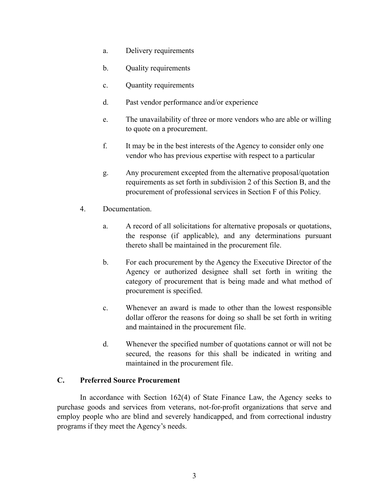- a. Delivery requirements
- b. Quality requirements
- c. Quantity requirements
- d. Past vendor performance and/or experience
- e. The unavailability of three or more vendors who are able or willing to quote on a procurement.
- f. It may be in the best interests of the Agency to consider only one vendor who has previous expertise with respect to a particular
- g. Any procurement excepted from the alternative proposal/quotation requirements as set forth in subdivision 2 of this Section B, and the procurement of professional services in Section F of this Policy.
- 4. Documentation.
	- a. A record of all solicitations for alternative proposals or quotations, the response (if applicable), and any determinations pursuant thereto shall be maintained in the procurement file.
	- b. For each procurement by the Agency the Executive Director of the Agency or authorized designee shall set forth in writing the category of procurement that is being made and what method of procurement is specified.
	- c. Whenever an award is made to other than the lowest responsible dollar offeror the reasons for doing so shall be set forth in writing and maintained in the procurement file.
	- d. Whenever the specified number of quotations cannot or will not be secured, the reasons for this shall be indicated in writing and maintained in the procurement file.

### **C. Preferred Source Procurement**

In accordance with Section 162(4) of State Finance Law, the Agency seeks to purchase goods and services from veterans, not-for-profit organizations that serve and employ people who are blind and severely handicapped, and from correctional industry programs if they meet the Agency's needs.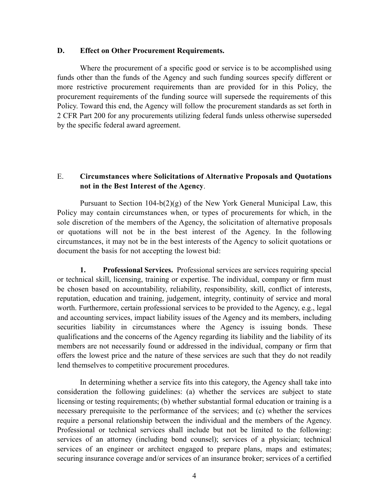#### **D. Effect on Other Procurement Requirements.**

Where the procurement of a specific good or service is to be accomplished using funds other than the funds of the Agency and such funding sources specify different or more restrictive procurement requirements than are provided for in this Policy, the procurement requirements of the funding source will supersede the requirements of this Policy. Toward this end, the Agency will follow the procurement standards as set forth in 2 CFR Part 200 for any procurements utilizing federal funds unless otherwise superseded by the specific federal award agreement.

### E. **Circumstances where Solicitations of Alternative Proposals and Quotations not in the Best Interest of the Agency**.

Pursuant to Section  $104-b(2)(g)$  of the New York General Municipal Law, this Policy may contain circumstances when, or types of procurements for which, in the sole discretion of the members of the Agency, the solicitation of alternative proposals or quotations will not be in the best interest of the Agency. In the following circumstances, it may not be in the best interests of the Agency to solicit quotations or document the basis for not accepting the lowest bid:

**1. Professional Services.** Professional services are services requiring special or technical skill, licensing, training or expertise. The individual, company or firm must be chosen based on accountability, reliability, responsibility, skill, conflict of interests, reputation, education and training, judgement, integrity, continuity of service and moral worth. Furthermore, certain professional services to be provided to the Agency, e.g., legal and accounting services, impact liability issues of the Agency and its members, including securities liability in circumstances where the Agency is issuing bonds. These qualifications and the concerns of the Agency regarding its liability and the liability of its members are not necessarily found or addressed in the individual, company or firm that offers the lowest price and the nature of these services are such that they do not readily lend themselves to competitive procurement procedures.

In determining whether a service fits into this category, the Agency shall take into consideration the following guidelines: (a) whether the services are subject to state licensing or testing requirements; (b) whether substantial formal education or training is a necessary prerequisite to the performance of the services; and (c) whether the services require a personal relationship between the individual and the members of the Agency. Professional or technical services shall include but not be limited to the following: services of an attorney (including bond counsel); services of a physician; technical services of an engineer or architect engaged to prepare plans, maps and estimates; securing insurance coverage and/or services of an insurance broker; services of a certified